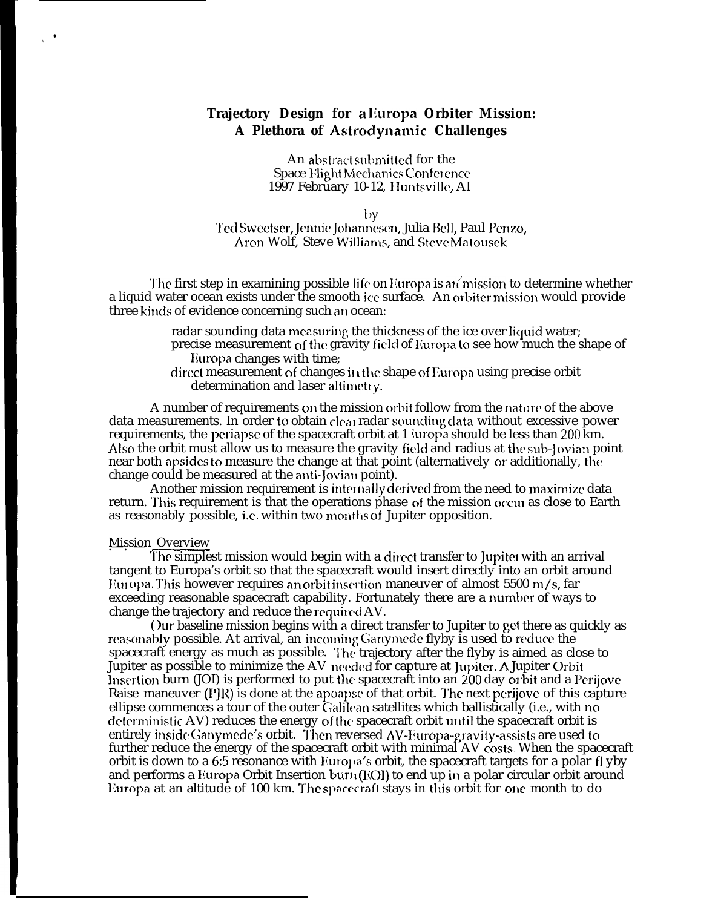## **Trajectory Design for a Iluropa Orbiter Mission: A Plethora of Astrdynamic Challenges**

An abstract submitted for the Space Flight Mechanics Conference 1997 February 10-12, Huntsville, AI

 $\mathbf{v}$ 

l'cd Swectscr, ]cnnie Jollanncscn, Julia 13e11, Paul l'enzo, Aron Wolf, Steve Williams, and Steve Matousek

The first step in examining possible life on Europa is an mission to determine whether a liquid water ocean exists under the smooth ice surface. An orbiter mission would provide three kinds of evidence concerning such an ocean:

- radar sounding data measuring the thickness of the ice over liquid water; precise measurement of the gravity field of Europa to see how much the shape of Europa changes with time;
- direct measurement of changes in the shape of Europa using precise orbit determination and laser altimetry.

A number of requirements on the mission orbit follow from the nature of the above data measurements. In order to obtain clear radar sounding data without excessive power requirements, the periapse of the spacecraft orbit at 1 *juropa* should be less than 200 km. Also the orbit must allow us to measure the gravity field and radius at the sub-Jovian point near both apsides to measure the change at that point (alternatively or additionally, the change could be measured at the anti-Jovian point).

Another mission requirement is internally derived from the need to maximize data return. This requirement is that the operations phase of the mission occur as close to Earth as reasonably possible, i.e. within two months of Jupiter opposition.

#### **Mission Overview**

● ✎

> The simplest mission would begin with a direct transfer to Jupiter with an arrival tangent to Europa's orbit so that the spacecraft would insert directly into an orbit around Europa. This however requires an orbit insertion maneuver of almost 5500 m/s, far exceeding reasonable spacecraft capability. Fortunately there are a number of ways to change the trajectory and reduce the required AV.

( )ur baseline mission begins with a direct transfer to Jupiter to get there as quickly as reasonably possible. At arrival, an incoming Ganymede flyby is used to reduce the spacecraft energy as much as possible. The trajectory after the flyby is aimed as close to Jupiter as possible to minimize the AV needed for capture at Jupiter. A Jupiter Orbit Insertion burn (JOI) is performed to put the spacecraft into an  $200$  day or bit and a l'erijove Raise maneuver  $(P|R)$  is done at the apoapse of that orbit. The next perijove of this capture ellipse commences a tour of the outer Galilean satellites which ballistically (i.e., with no deterministic AV) reduces the energy of the spacecraft orbit until the spacecraft orbit is entirely inside Ganymede's orbit. Then reversed AV-Europa-gravity-assists are used to further reduce the energy of the spacecraft orbit with minimal AV costs. When the spacecraft orbit is down to a 6:5 resonance with Europa's orbit, the spacecraft targets for a polar f] yby and performs a Europa Orbit Insertion  $burn(EOI)$  to end up in a polar circular orbit around Europa at an altitude of 100 km. The spacecraft stays in this orbit for one month to do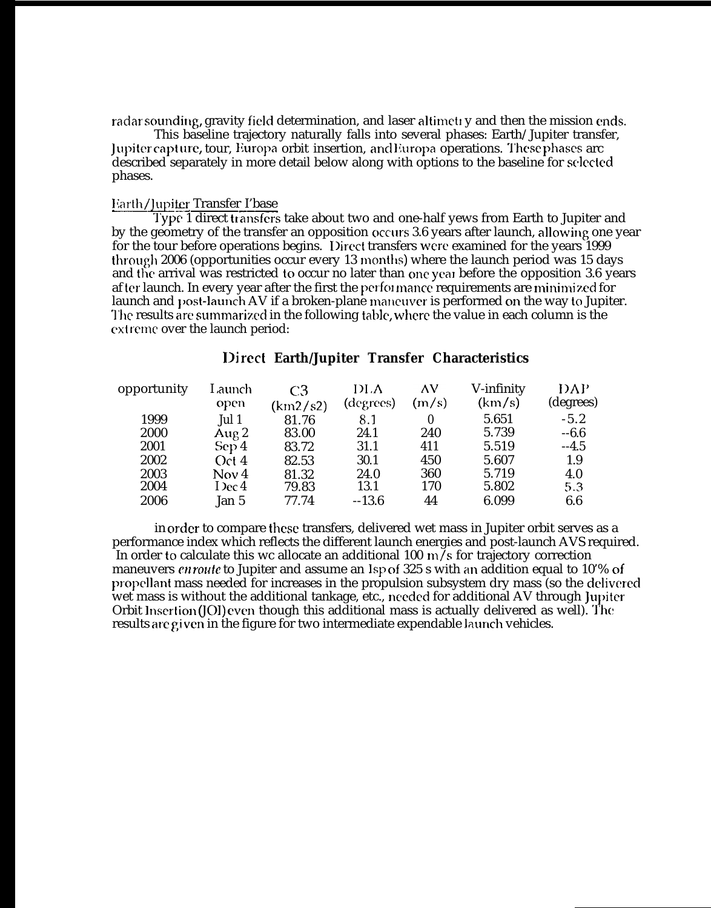radar sounding, gravity field determination, and laser altimeti y and then the mission ends.

This baseline trajectory naturally falls into several phases: Earth/Jupiter transfer, J upitcr capt m-e, tour, Ilumpa orbit insertion, ancl liuropa operations. '1'hese phases arc described separately in more detail below along with options to the baseline for selected phases.

### Earth/Jupiter Transfer I'base

Type 1 direct transfers take about two and one-half yews from Earth to Jupiter and by the geometry of the transfer an opposition occurs 3.6 years after launch, allowing one year for the tour before operations begins. IJirect transfers were examined for the years 1999 through 2006 (opportunities occur every 13 months) where the launch period was 15 days and the arrival was restricted to occur no later than one year before the opposition 3.6 years af tcr launch. In every year after the first the perfol mancc requirements are minimi zcd for launch and post-launch AV if a broken-plane maneuver is performed on the way to Jupiter. The results are summarized in the following table, where the value in each column is the extreme over the launch period:

## **Direct Earth/Jupiter Transfer Characteristics**

| Launch                   | C <sub>3</sub> | DLA       | ΛV           | V-infinity | DAP       |
|--------------------------|----------------|-----------|--------------|------------|-----------|
| open                     | (km2/s2)       | (degrees) |              |            | (degrees) |
| Jul 1                    | 81.76          | 8.1       | $\mathbf{0}$ | 5.651      | $-5.2$    |
| Aug $2$                  | 83.00          | 24.1      | 240          | 5.739      | $-6.6$    |
| Sep 4                    | 83.72          | 31.1      | 411          | 5.519      | $-4.5$    |
| Oct 4                    | 82.53          | 30.1      | 450          | 5.607      | 1.9       |
| Now 4                    | 81.32          | 24.0      | 360          | 5.719      | 4.0       |
| I $\operatorname{Dec} 4$ |                | 13.1      | 170          | 5.802      | 5.3       |
| Jan 5                    | 77.74          | $-13.6$   | 44           | 6.099      | 6.6       |
|                          |                | 79.83     |              | (m/s)      | (km/s)    |

in order to compare these transfers, delivered wet mass in Jupiter orbit serves as a performance index which reflects the different launch energies and post-launch AVS required. In order to calculate this wc allocate an additional 100 m/s for trajectory correction maneuvers *enroute* to Jupiter and assume an Isp of 325 s with an addition equal to 10'% of propellant mass needed for increases in the propulsion subsystem dry mass (so the delivered wet mass is without the additional tankage, etc., needed for additional AV through Jupiter Orbit lnserlion (JOI) even though this additional mass is actually delivered as well). '1'he results are given in the figure for two intermediate expendable launch vehicles.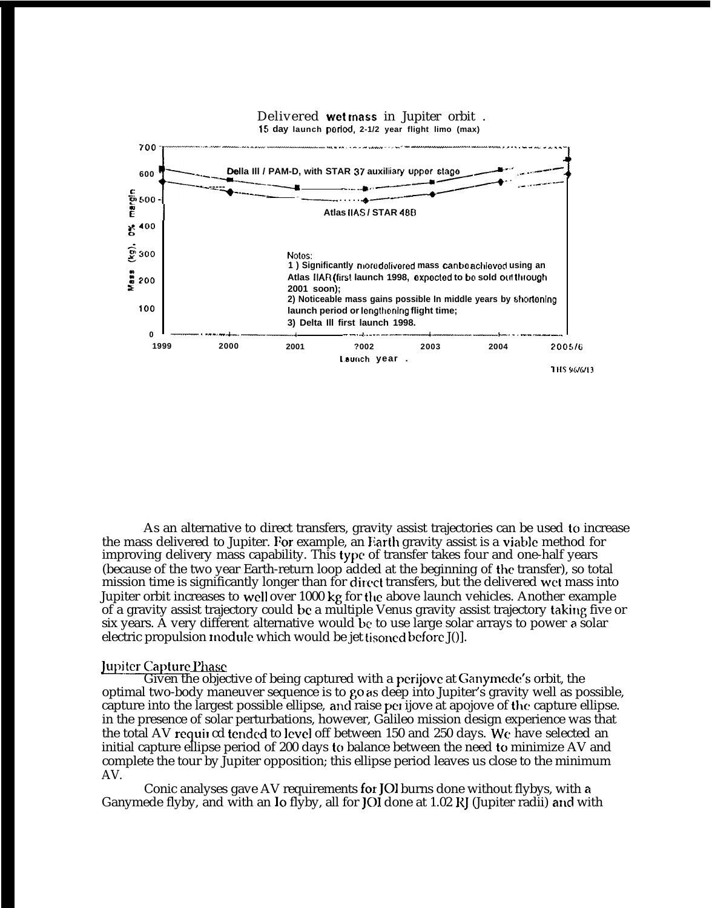

As an alternative to direct transfers, gravity assist trajectories can be used to increase the mass delivered to Jupiter. For example, an Earth gravity assist is a viable method for improving delivery mass capability. This type of transfer takes four and one-half years (because of the two year Earth-return loop added at the beginning of the transfer), so total mission time is significantly longer than for direct transfers, but the delivered wet mass into Jupiter orbit increases to well over 1000 kg for the above launch vehicles. Another example of a gravity assist trajectory could be a multiple Venus gravity assist trajectory taking five or six years. A very different alternative would be to use large solar arrays to power a solar electric propulsion module which would be jet tisoned before J().

#### Jupiter Capture Phase

Given the objective of being captured with a perijove at Ganymede's orbit, the optimal two-body maneuver sequence is to go as deep into Jupiter's gravity well as possible. capture into the largest possible ellipse, and raise per ijove at apojove of the capture ellipse. in the presence of solar perturbations, however, Galileo mission design experience was that the total AV required tended to level off between 150 and 250 days. We have selected an initial capture ellipse period of 200 days to balance between the need to minimize AV and complete the tour by Jupiter opposition; this ellipse period leaves us close to the minimum AV.

Conic analyses gave AV requirements for JOI burns done without flybys, with a Ganymede flyby, and with an lo flyby, all for JOI done at 1.02 RJ (Jupiter radii) and with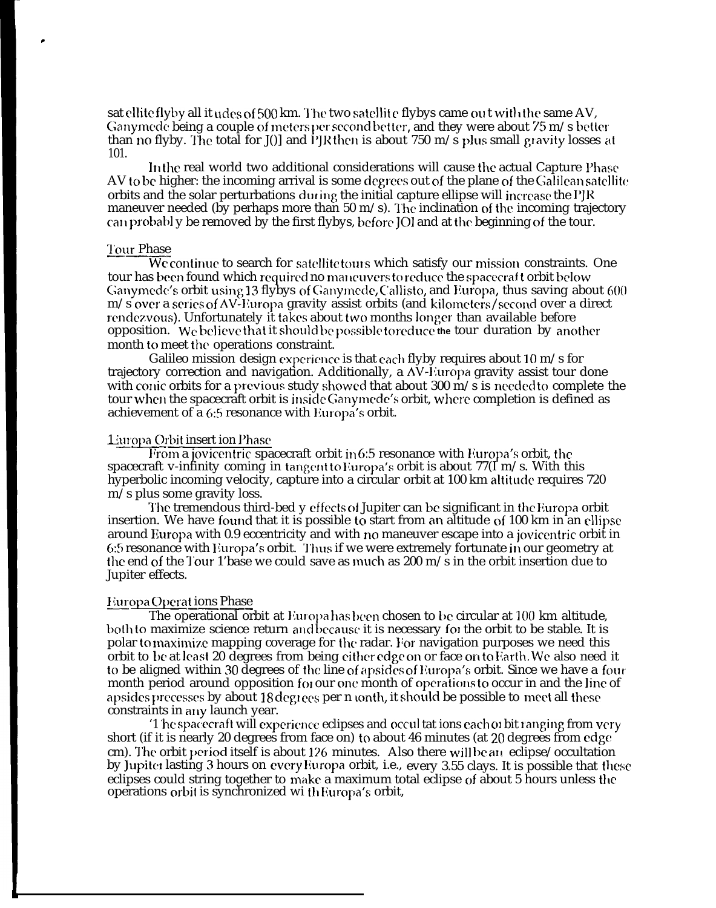sat ellite flyby all it udes of 500 km. The two satellite flybys came out with the same AV, Ganymede being a couple of meters per second better, and they were about 75 m/s better than no flyby. The total for J $[0]$  and PJR then is about 750 m/s plus small gravity losses at 101.

In the real world two additional considerations will cause the actual Capture Phase AV to be higher: the incoming arrival is some degrees out of the plane of the Galilean satellite orbits and the solar perturbations during the initial capture ellipse will increase the I'JK maneuver needed (by perhaps more than 50 m/s). The inclination of the incoming trajectory can probably be removed by the first flybys, before JOI and at the beginning of the tour.

# <u>Tour Phase</u>

,

We continue to search for satellite tours which satisfy our mission constraints. One tour has been found which required no maneuvers to reduce the spacecraft orbit below Ganymede's orbit using 13 flybys of Ganymede, Callisto, and Europa, thus saving about 600  $m/s$  over a series of AV-Europa gravity assist orbits (and kilometers/second over a direct rendezvous). Unfortunately it takes about two months longer than available before opposition. We believe that it should be possible to reduce the tour duration by another month to meet the operations constraint.

Galileo mission design experience is that each flyby requires about  $10 \text{ m/s}$  for trajectory correction and navigation. Additionally, a  $\Delta V$ -Europa gravity assist tour done with conic orbits for a previous study showed that about 300 m/s is needed to complete the tour when the spacecraft orbit is inside Ganymede's orbit, where completion is defined as achievement of a 6:5 resonance with Europa's orbit.

# Luropa Orbit insert ion Phase

From a jovicentric spacecraft orbit in 6:5 resonance with Europa's orbit, the spacecraft v-infinity coming in tangent to Europa's orbit is about  $77(I m/s$ . With this hyperbolic incoming velocity, capture into a circular orbit at 100 km altitude requires 720 m/s plus some gravity loss.

The tremendous third-bed y effects of Jupiter can be significant in the Europa orbit insertion. We have found that it is possible to start from an altitude of 100 km in an ellipse around Europa with 0.9 eccentricity and with no maneuver escape into a jovicentric orbit in 6:5 resonance with Europa's orbit. Thus if we were extremely fortunate in our geometry at the end of the Tour 1'base we could save as much as 200 m/s in the orbit insertion due to Jupiter effects.

# <u>Europa Operat ions Phase</u>

The operational orbit at Europa has been chosen to be circular at 100 km altitude, both to maximize science return and because it is necessary for the orbit to be stable. It is polar to maximize mapping coverage for the radar. For navigation purposes we need this orbit to be at least 20 degrees from being either edge on or face on to Earth. We also need it to be aligned within 30 degrees of the line of apsides of Europa's orbit. Since we have a four month period around opposition for our one month of operations to occur in and the line of apsides precesses by about 18 degrees per n tonth, it should be possible to meet all these constraints in any launch year.

'1 he spacecraft will experience eclipses and occul tat ions each or bit ranging from very short (if it is nearly 20 degrees from face on) to about 46 minutes (at 20 degrees from edge cm). The orbit period itself is about 126 minutes. Also there will be an eclipse/occultation by Jupiter lasting 3 hours on every Europa orbit, i.e., every 3.55 clays. It is possible that these eclipses could string together to make a maximum total eclipse of about 5 hours unless the operations orbit is synchronized wi th Europa's orbit,